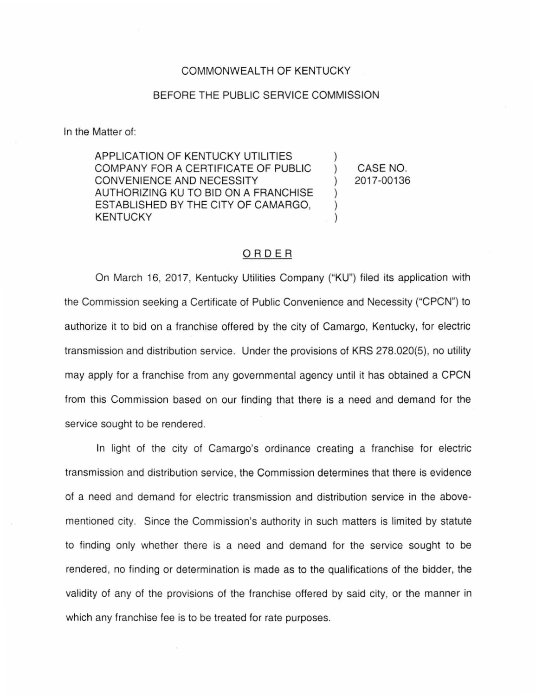## COMMONWEALTH OF KENTUCKY

## BEFORE THE PUBLIC SERVICE COMMISSION

In the Matter of:

APPLICATION OF KENTUCKY UTILITIES COMPANY FOR A CERTIFICATE OF PUBLIC CONVENIENCE AND NECESSITY AUTHORIZING KU TO BID ON A FRANCHISE ESTABLISHED BY THE CITY OF CAMARGO, KENTUCKY

) CASE NO. ) 2017-00136

)

) ) )

## ORDER

On March 16, 2017, Kentucky Utilities Company ("KU") filed its application with the Commission seeking a Certificate of Public Convenience and Necessity ("CPCN") to authorize it to bid on a franchise offered by the city of Camargo, Kentucky, for electric transmission and distribution service. Under the provisions of KRS 278.020(5), no utility may apply for a franchise from any governmental agency until it has obtained a CPCN from this Commission based on our finding that there is a need and demand for the service sought to be rendered.

In light of the city of Camargo's ordinance creating a franchise for electric transmission and distribution service, the Commission determines that there is evidence of a need and demand for electric transmission and distribution service in the abovementioned city. Since the Commission's authority in such matters is limited by statute to finding only whether there is a need and demand for the service sought to be rendered, no finding or determination is made as to the qualifications of the bidder, the validity of any of the provisions of the franchise offered by said city, or the manner in which any franchise fee is to be treated for rate purposes.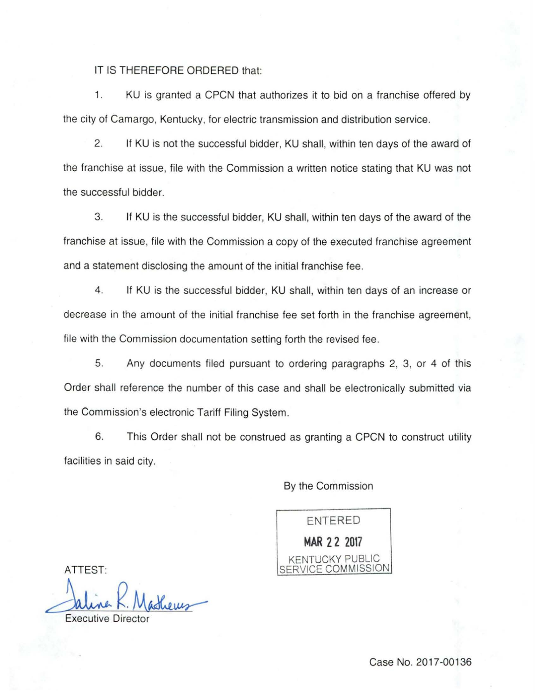## IT IS THEREFORE ORDERED that:

1. KU is granted a CPCN that authorizes it to bid on a franchise offered by the city of Camargo, Kentucky, for electric transmission and distribution service.

2. If KU is not the successful bidder, KU shall, within ten days of the award of the franchise at issue, file with the Commission a written notice stating that KU was not the successful bidder.

3. If KU is the successful bidder, KU shall, within ten days of the award of the franchise at issue, file with the Commission a copy of the executed franchise agreement and a statement disclosing the amount of the initial franchise fee.

4. If KU is the successful bidder, KU shall, within ten days of an increase or decrease in the amount of the initial franchise fee set forth in the franchise agreement, file with the Commission documentation setting forth the revised fee.

5. Any documents filed pursuant to ordering paragraphs 2, 3, or 4 of this Order shall reference the number of this case and shall be electronically submitted via the Commission's electronic Tariff Filing System.

6. This Order shall not be construed as granting a CPCN to construct utility facilities in said city.

By the Commission

ENTERED **MAR 2 2 2017**  KENTUCKY PUBLIC SERVICE COMMISSION

ATTEST:

Jaline R. Masheus